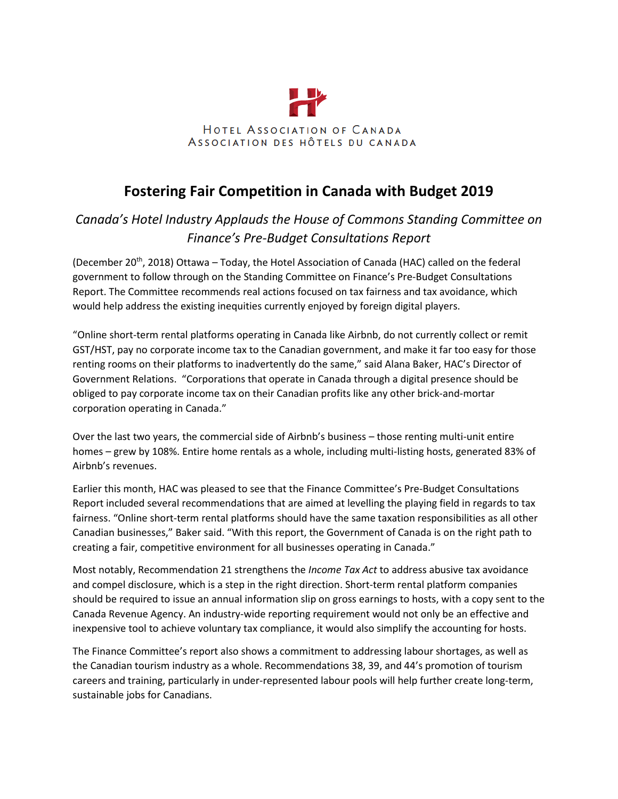

## **Fostering Fair Competition in Canada with Budget 2019**

## *Canada's Hotel Industry Applauds the House of Commons Standing Committee on Finance's Pre-Budget Consultations Report*

(December 20<sup>th</sup>, 2018) Ottawa – Today, the Hotel Association of Canada (HAC) called on the federal government to follow through on the Standing Committee on Finance's Pre-Budget Consultations Report. The Committee recommends real actions focused on tax fairness and tax avoidance, which would help address the existing inequities currently enjoyed by foreign digital players.

"Online short-term rental platforms operating in Canada like Airbnb, do not currently collect or remit GST/HST, pay no corporate income tax to the Canadian government, and make it far too easy for those renting rooms on their platforms to inadvertently do the same," said Alana Baker, HAC's Director of Government Relations. "Corporations that operate in Canada through a digital presence should be obliged to pay corporate income tax on their Canadian profits like any other brick-and-mortar corporation operating in Canada."

Over the last two years, the commercial side of Airbnb's business – those renting multi-unit entire homes – grew by 108%. Entire home rentals as a whole, including multi-listing hosts, generated 83% of Airbnb's revenues.

Earlier this month, HAC was pleased to see that the Finance Committee's Pre-Budget Consultations Report included several recommendations that are aimed at levelling the playing field in regards to tax fairness. "Online short-term rental platforms should have the same taxation responsibilities as all other Canadian businesses," Baker said. "With this report, the Government of Canada is on the right path to creating a fair, competitive environment for all businesses operating in Canada."

Most notably, Recommendation 21 strengthens the *Income Tax Act* to address abusive tax avoidance and compel disclosure, which is a step in the right direction. Short-term rental platform companies should be required to issue an annual information slip on gross earnings to hosts, with a copy sent to the Canada Revenue Agency. An industry-wide reporting requirement would not only be an effective and inexpensive tool to achieve voluntary tax compliance, it would also simplify the accounting for hosts.

The Finance Committee's report also shows a commitment to addressing labour shortages, as well as the Canadian tourism industry as a whole. Recommendations 38, 39, and 44's promotion of tourism careers and training, particularly in under-represented labour pools will help further create long-term, sustainable jobs for Canadians.